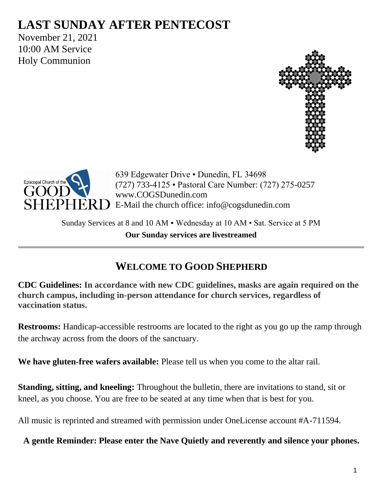# **LAST SUNDAY AFTER PENTECOST**

November 21, 2021 10:00 AM Service Holy Communion





639 Edgewater Drive • Dunedin, FL 34698 (727) 733-4125 • Pastoral Care Number: (727) 275-0257 www.COGSDunedin.com E-Mail the church office: info@cogsdunedin.com

Sunday Services at 8 and 10 AM • Wednesday at 10 AM • Sat. Service at 5 PM **Our Sunday services are livestreamed**

# **WELCOME TO GOOD SHEPHERD**

**CDC Guidelines: In accordance with new CDC guidelines, masks are again required on the church campus, including in-person attendance for church services, regardless of vaccination status.**

**Restrooms:** Handicap-accessible restrooms are located to the right as you go up the ramp through the archway across from the doors of the sanctuary.

**We have gluten-free wafers available:** Please tell us when you come to the altar rail.

**Standing, sitting, and kneeling:** Throughout the bulletin, there are invitations to stand, sit or kneel, as you choose. You are free to be seated at any time when that is best for you.

All music is reprinted and streamed with permission under OneLicense account #A-711594.

**A gentle Reminder: Please enter the Nave Quietly and reverently and silence your phones.**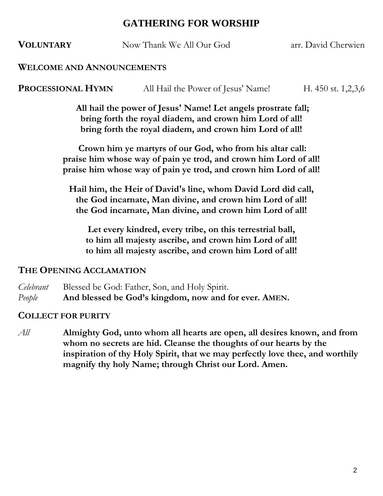# **GATHERING FOR WORSHIP**

**VOLUNTARY** Now Thank We All Our God arr. David Cherwien

#### **WELCOME AND ANNOUNCEMENTS**

**PROCESSIONAL HYMN** All Hail the Power of Jesus' Name! H. 450 st. 1,2,3,6

**All hail the power of Jesus' Name! Let angels prostrate fall; bring forth the royal diadem, and crown him Lord of all! bring forth the royal diadem, and crown him Lord of all!**

**Crown him ye martyrs of our God, who from his altar call: praise him whose way of pain ye trod, and crown him Lord of all! praise him whose way of pain ye trod, and crown him Lord of all!**

**Hail him, the Heir of David's line, whom David Lord did call, the God incarnate, Man divine, and crown him Lord of all! the God incarnate, Man divine, and crown him Lord of all!**

**Let every kindred, every tribe, on this terrestrial ball, to him all majesty ascribe, and crown him Lord of all! to him all majesty ascribe, and crown him Lord of all!**

#### **THE OPENING ACCLAMATION**

- *Celebrant* Blessed be God: Father, Son, and Holy Spirit.
- *People* **And blessed be God's kingdom, now and for ever. AMEN.**

#### **COLLECT FOR PURITY**

*All* **Almighty God, unto whom all hearts are open, all desires known, and from whom no secrets are hid. Cleanse the thoughts of our hearts by the inspiration of thy Holy Spirit, that we may perfectly love thee, and worthily magnify thy holy Name; through Christ our Lord. Amen.**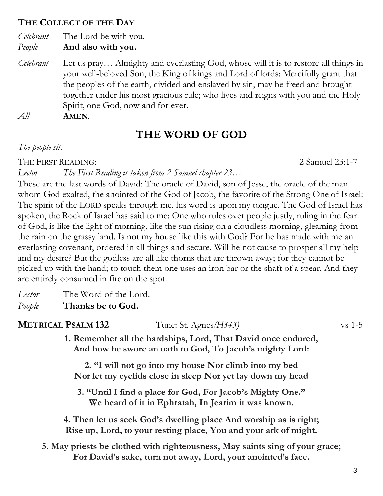# **THE COLLECT OF THE DAY**

*Celebrant* The Lord be with you. *People* **And also with you.**

*Celebrant* Let us pray… Almighty and everlasting God, whose will it is to restore all things in your well-beloved Son, the King of kings and Lord of lords: Mercifully grant that the peoples of the earth, divided and enslaved by sin, may be freed and brought together under his most gracious rule; who lives and reigns with you and the Holy Spirit, one God, now and for ever.

*All* **AMEN**.

# **THE WORD OF GOD**

#### *The people sit.*

THE FIRST READING: 23:1-7

*Lector The First Reading is taken from 2 Samuel chapter 23…*

These are the last words of David: The oracle of David, son of Jesse, the oracle of the man whom God exalted, the anointed of the God of Jacob, the favorite of the Strong One of Israel: The spirit of the LORD speaks through me, his word is upon my tongue. The God of Israel has spoken, the Rock of Israel has said to me: One who rules over people justly, ruling in the fear of God, is like the light of morning, like the sun rising on a cloudless morning, gleaming from the rain on the grassy land. Is not my house like this with God? For he has made with me an everlasting covenant, ordered in all things and secure. Will he not cause to prosper all my help and my desire? But the godless are all like thorns that are thrown away; for they cannot be picked up with the hand; to touch them one uses an iron bar or the shaft of a spear. And they are entirely consumed in fire on the spot.

*Lector* The Word of the Lord.

*People* **Thanks be to God.**

**METRICAL PSALM 132** Tune: St. Agnes*(H343)* vs 1-5

**1. Remember all the hardships, Lord, That David once endured, And how he swore an oath to God, To Jacob's mighty Lord:**

**2. "I will not go into my house Nor climb into my bed Nor let my eyelids close in sleep Nor yet lay down my head**

**3. "Until I find a place for God, For Jacob's Mighty One." We heard of it in Ephratah, In Jearim it was known.**

**4. Then let us seek God's dwelling place And worship as is right; Rise up, Lord, to your resting place, You and your ark of might.**

**5. May priests be clothed with righteousness, May saints sing of your grace; For David's sake, turn not away, Lord, your anointed's face.**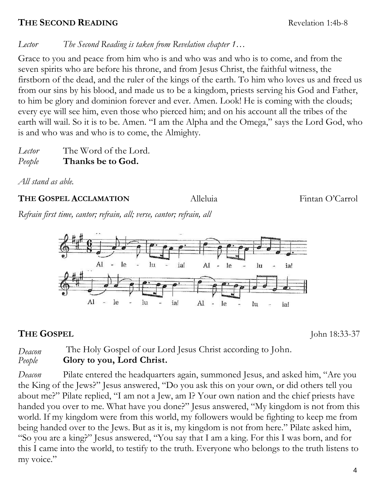# **THE SECOND READING** Revelation 1:4b-8

*Lector The Second Reading is taken from Revelation chapter 1…*

Grace to you and peace from him who is and who was and who is to come, and from the seven spirits who are before his throne, and from Jesus Christ, the faithful witness, the firstborn of the dead, and the ruler of the kings of the earth. To him who loves us and freed us from our sins by his blood, and made us to be a kingdom, priests serving his God and Father, to him be glory and dominion forever and ever. Amen. Look! He is coming with the clouds; every eye will see him, even those who pierced him; and on his account all the tribes of the earth will wail. So it is to be. Amen. "I am the Alpha and the Omega," says the Lord God, who is and who was and who is to come, the Almighty.

*Lector* The Word of the Lord. *People* **Thanks be to God.**

*All stand as able.*

# **THE GOSPEL ACCLAMATION** Alleluia Fintan O'Carrol

*Refrain first time, cantor; refrain, all; verse, cantor; refrain, all*



# **THE GOSPEL** John 18:33-37

*Deacon* The Holy Gospel of our Lord Jesus Christ according to John. *People* **Glory to you, Lord Christ.**

*Deacon* Pilate entered the headquarters again, summoned Jesus, and asked him, "Are you the King of the Jews?" Jesus answered, "Do you ask this on your own, or did others tell you about me?" Pilate replied, "I am not a Jew, am I? Your own nation and the chief priests have handed you over to me. What have you done?" Jesus answered, "My kingdom is not from this world. If my kingdom were from this world, my followers would be fighting to keep me from being handed over to the Jews. But as it is, my kingdom is not from here." Pilate asked him, "So you are a king?" Jesus answered, "You say that I am a king. For this I was born, and for this I came into the world, to testify to the truth. Everyone who belongs to the truth listens to my voice."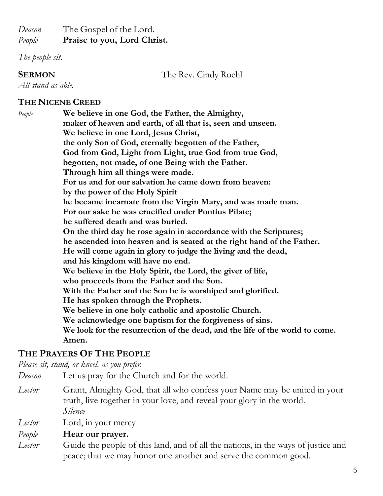### *Deacon* The Gospel of the Lord. *People* **Praise to you, Lord Christ.**

*The people sit.*

**SERMON** The Rev. Cindy Roehl

*All stand as able.*

#### **THE NICENE CREED**

| People | We believe in one God, the Father, the Almighty,                             |  |  |
|--------|------------------------------------------------------------------------------|--|--|
|        | maker of heaven and earth, of all that is, seen and unseen.                  |  |  |
|        | We believe in one Lord, Jesus Christ,                                        |  |  |
|        | the only Son of God, eternally begotten of the Father,                       |  |  |
|        | God from God, Light from Light, true God from true God,                      |  |  |
|        | begotten, not made, of one Being with the Father.                            |  |  |
|        | Through him all things were made.                                            |  |  |
|        | For us and for our salvation he came down from heaven:                       |  |  |
|        | by the power of the Holy Spirit                                              |  |  |
|        | he became incarnate from the Virgin Mary, and was made man.                  |  |  |
|        | For our sake he was crucified under Pontius Pilate;                          |  |  |
|        | he suffered death and was buried.                                            |  |  |
|        | On the third day he rose again in accordance with the Scriptures;            |  |  |
|        | he ascended into heaven and is seated at the right hand of the Father.       |  |  |
|        | He will come again in glory to judge the living and the dead,                |  |  |
|        | and his kingdom will have no end.                                            |  |  |
|        | We believe in the Holy Spirit, the Lord, the giver of life,                  |  |  |
|        | who proceeds from the Father and the Son.                                    |  |  |
|        | With the Father and the Son he is worshiped and glorified.                   |  |  |
|        | He has spoken through the Prophets.                                          |  |  |
|        | We believe in one holy catholic and apostolic Church.                        |  |  |
|        | We acknowledge one baptism for the forgiveness of sins.                      |  |  |
|        | We look for the resurrection of the dead, and the life of the world to come. |  |  |
|        | Amen.                                                                        |  |  |
|        |                                                                              |  |  |

# **THE PRAYERS OF THE PEOPLE**

*Please sit, stand, or kneel, as you prefer.*

- *Deacon* Let us pray for the Church and for the world.
- *Lector* Grant, Almighty God, that all who confess your Name may be united in your truth, live together in your love, and reveal your glory in the world. *Silence*
- *Lector* Lord, in your mercy

#### *People* **Hear our prayer.**

*Lector* Guide the people of this land, and of all the nations, in the ways of justice and peace; that we may honor one another and serve the common good.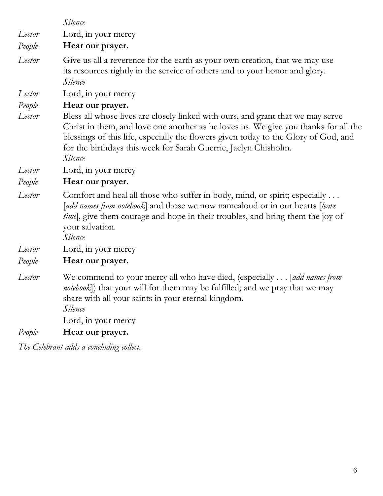*Silence Lector* Lord, in your mercy *People* **Hear our prayer.** *Lector* Give us all a reverence for the earth as your own creation, that we may use its resources rightly in the service of others and to your honor and glory. *Silence Lector* Lord, in your mercy *People* **Hear our prayer.** *Lector* Bless all whose lives are closely linked with ours, and grant that we may serve Christ in them, and love one another as he loves us. We give you thanks for all the blessings of this life, especially the flowers given today to the Glory of God, and for the birthdays this week for Sarah Guerrie, Jaclyn Chisholm*. Silence Lector* Lord, in your mercy *People* **Hear our prayer.** *Lector* Comfort and heal all those who suffer in body, mind, or spirit; especially . . . [*add names from notebook*] and those we now namealoud or in our hearts [*leave time*, give them courage and hope in their troubles, and bring them the joy of your salvation. *Silence Lector* Lord, in your mercy *People* **Hear our prayer.** *Lector* We commend to your mercy all who have died, (especially . . . [*add names from notebook*]) that your will for them may be fulfilled; and we pray that we may share with all your saints in your eternal kingdom.

*Silence*

Lord, in your mercy

*People* **Hear our prayer.**

*The Celebrant adds a concluding collect.*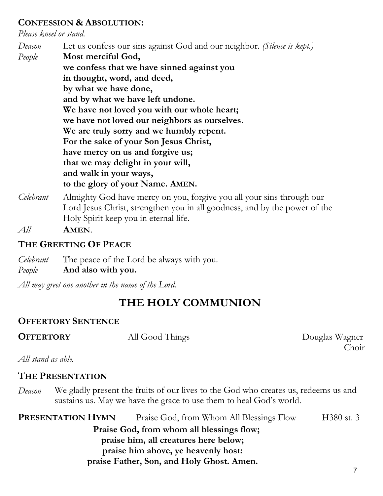#### **CONFESSION & ABSOLUTION:**

*Please kneel or stand.*

*Deacon* Let us confess our sins against God and our neighbor. *(Silence is kept.) People* **Most merciful God, we confess that we have sinned against you in thought, word, and deed, by what we have done, and by what we have left undone. We have not loved you with our whole heart; we have not loved our neighbors as ourselves. We are truly sorry and we humbly repent. For the sake of your Son Jesus Christ, have mercy on us and forgive us; that we may delight in your will, and walk in your ways, to the glory of your Name. AMEN.**

*Celebrant* Almighty God have mercy on you, forgive you all your sins through our Lord Jesus Christ, strengthen you in all goodness, and by the power of the Holy Spirit keep you in eternal life.

*All* **AMEN**.

# **THE GREETING OF PEACE**

*Celebrant* The peace of the Lord be always with you.

*People* **And also with you.**

*All may greet one another in the name of the Lord.*

# **THE HOLY COMMUNION**

# **OFFERTORY SENTENCE**

**OFFERTORY** All Good Things Douglas Wagner Choir

*All stand as able.*

# **THE PRESENTATION**

*Deacon* We gladly present the fruits of our lives to the God who creates us, redeems us and sustains us. May we have the grace to use them to heal God's world.

**PRESENTATION HYMN** Praise God, from Whom All Blessings Flow H380 st. 3

**Praise God, from whom all blessings flow; praise him, all creatures here below; praise him above, ye heavenly host: praise Father, Son, and Holy Ghost. Amen.**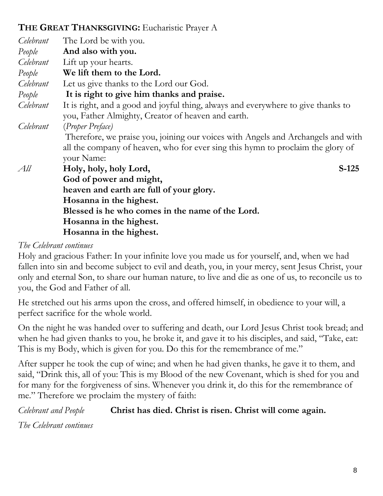# **THE GREAT THANKSGIVING:** Eucharistic Prayer A

| Celebrant | The Lord be with you.                                                             |  |  |
|-----------|-----------------------------------------------------------------------------------|--|--|
| People    | And also with you.                                                                |  |  |
| Celebrant | Lift up your hearts.                                                              |  |  |
| People    | We lift them to the Lord.                                                         |  |  |
| Celebrant | Let us give thanks to the Lord our God.                                           |  |  |
| People    | It is right to give him thanks and praise.                                        |  |  |
| Celebrant | It is right, and a good and joyful thing, always and everywhere to give thanks to |  |  |
|           | you, Father Almighty, Creator of heaven and earth.                                |  |  |
| Celebrant | (Proper Preface)                                                                  |  |  |
|           | Therefore, we praise you, joining our voices with Angels and Archangels and with  |  |  |
|           | all the company of heaven, who for ever sing this hymn to proclaim the glory of   |  |  |
|           | your Name:                                                                        |  |  |
| All       | Holy, holy, holy Lord,<br>$S-125$                                                 |  |  |
|           | God of power and might,                                                           |  |  |
|           | heaven and earth are full of your glory.                                          |  |  |
|           | Hosanna in the highest.                                                           |  |  |
|           | Blessed is he who comes in the name of the Lord.                                  |  |  |
|           | Hosanna in the highest.                                                           |  |  |
|           | Hosanna in the highest.                                                           |  |  |

# *The Celebrant continues*

Holy and gracious Father: In your infinite love you made us for yourself, and, when we had fallen into sin and become subject to evil and death, you, in your mercy, sent Jesus Christ, your only and eternal Son, to share our human nature, to live and die as one of us, to reconcile us to you, the God and Father of all.

He stretched out his arms upon the cross, and offered himself, in obedience to your will, a perfect sacrifice for the whole world.

On the night he was handed over to suffering and death, our Lord Jesus Christ took bread; and when he had given thanks to you, he broke it, and gave it to his disciples, and said, "Take, eat: This is my Body, which is given for you. Do this for the remembrance of me."

After supper he took the cup of wine; and when he had given thanks, he gave it to them, and said, "Drink this, all of you: This is my Blood of the new Covenant, which is shed for you and for many for the forgiveness of sins. Whenever you drink it, do this for the remembrance of me." Therefore we proclaim the mystery of faith:

*Celebrant and People* **Christ has died. Christ is risen. Christ will come again.**

*The Celebrant continues*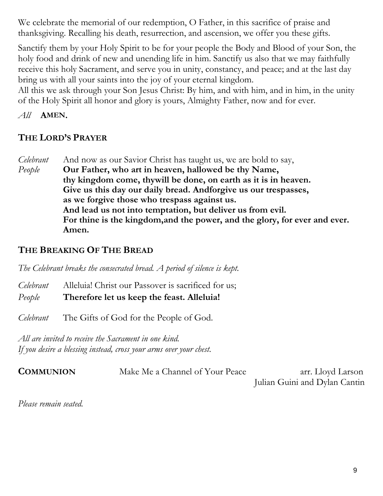We celebrate the memorial of our redemption, O Father, in this sacrifice of praise and thanksgiving. Recalling his death, resurrection, and ascension, we offer you these gifts.

Sanctify them by your Holy Spirit to be for your people the Body and Blood of your Son, the holy food and drink of new and unending life in him. Sanctify us also that we may faithfully receive this holy Sacrament, and serve you in unity, constancy, and peace; and at the last day bring us with all your saints into the joy of your eternal kingdom.

All this we ask through your Son Jesus Christ: By him, and with him, and in him, in the unity of the Holy Spirit all honor and glory is yours, Almighty Father, now and for ever.

*All* **AMEN.**

# **THE LORD'S PRAYER**

*Celebrant* And now as our Savior Christ has taught us, we are bold to say, *People* **Our Father, who art in heaven, hallowed be thy Name, thy kingdom come, thywill be done, on earth as it is in heaven. Give us this day our daily bread. Andforgive us our trespasses, as we forgive those who trespass against us. And lead us not into temptation, but deliver us from evil. For thine is the kingdom,and the power, and the glory, for ever and ever. Amen.**

# **THE BREAKING OF THE BREAD**

*The Celebrant breaks the consecrated bread. A period of silence is kept.*

*Celebrant* Alleluia! Christ our Passover is sacrificed for us; *People* **Therefore let us keep the feast. Alleluia!**

*Celebrant* The Gifts of God for the People of God.

*All are invited to receive the Sacrament in one kind. If you desire a blessing instead, cross your arms over your chest.*

| <b>COMMUNION</b> | Make Me a Channel of Your Peace | arr. Lloyd Larson             |
|------------------|---------------------------------|-------------------------------|
|                  |                                 | Julian Guini and Dylan Cantin |

*Please remain seated.*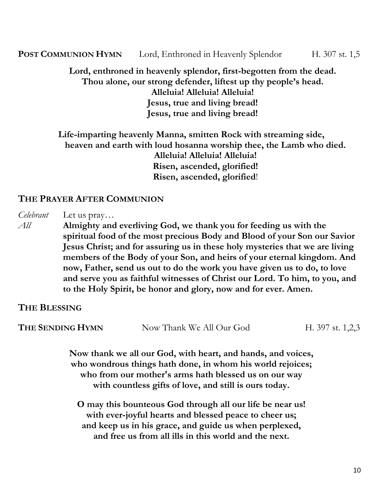**POST COMMUNION HYMN** Lord, Enthroned in Heavenly Splendor H. 307 st. 1,5

#### **Lord, enthroned in heavenly splendor, first-begotten from the dead. Thou alone, our strong defender, liftest up thy people's head. Alleluia! Alleluia! Alleluia! Jesus, true and living bread! Jesus, true and living bread!**

## **Life-imparting heavenly Manna, smitten Rock with streaming side, heaven and earth with loud hosanna worship thee, the Lamb who died. Alleluia! Alleluia! Alleluia! Risen, ascended, glorified! Risen, ascended, glorified**!

# **THE PRAYER AFTER COMMUNION**

*Celebrant* Let us pray…

*All* **Almighty and everliving God, we thank you for feeding us with the spiritual food of the most precious Body and Blood of your Son our Savior Jesus Christ; and for assuring us in these holy mysteries that we are living members of the Body of your Son, and heirs of your eternal kingdom. And now, Father, send us out to do the work you have given us to do, to love and serve you as faithful witnesses of Christ our Lord. To him, to you, and to the Holy Spirit, be honor and glory, now and for ever. Amen.**

**THE BLESSING**

**THE SENDING HYMN** Now Thank We All Our God H. 397 st. 1,2,3

**Now thank we all our God, with heart, and hands, and voices, who wondrous things hath done, in whom his world rejoices; who from our mother's arms hath blessed us on our way with countless gifts of love, and still is ours today.**

**O may this bounteous God through all our life be near us! with ever-joyful hearts and blessed peace to cheer us; and keep us in his grace, and guide us when perplexed, and free us from all ills in this world and the next.**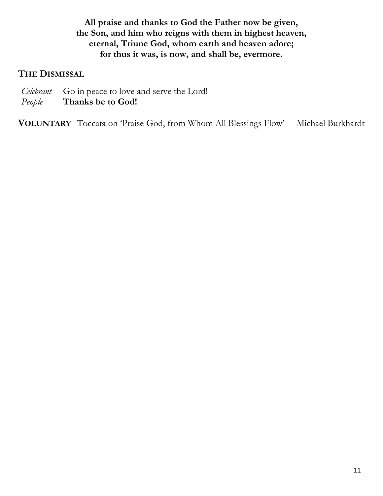**All praise and thanks to God the Father now be given, the Son, and him who reigns with them in highest heaven, eternal, Triune God, whom earth and heaven adore; for thus it was, is now, and shall be, evermore.**

#### **THE DISMISSAL**

- *Celebrant* Go in peace to love and serve the Lord!
- *People* **Thanks be to God!**

**VOLUNTARY** Toccata on 'Praise God, from Whom All Blessings Flow' Michael Burkhardt